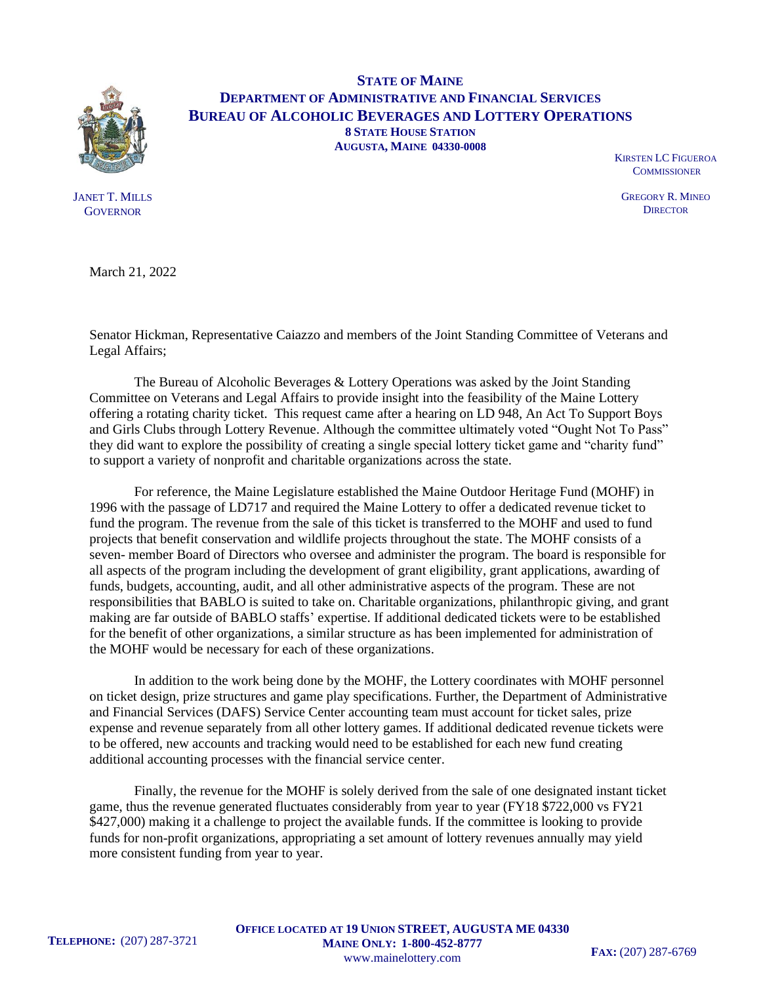

JANET T. MILLS **GOVERNOR** 

**STATE OF MAINE DEPARTMENT OF ADMINISTRATIVE AND FINANCIAL SERVICES BUREAU OF ALCOHOLIC BEVERAGES AND LOTTERY OPERATIONS 8 STATE HOUSE STATION AUGUSTA, MAINE 04330-0008**

KIRSTEN LC FIGUEROA **COMMISSIONER** 

GREGORY R. MINEO **DIRECTOR** 

March 21, 2022

Senator Hickman, Representative Caiazzo and members of the Joint Standing Committee of Veterans and Legal Affairs;

The Bureau of Alcoholic Beverages & Lottery Operations was asked by the Joint Standing Committee on Veterans and Legal Affairs to provide insight into the feasibility of the Maine Lottery offering a rotating charity ticket. This request came after a hearing on LD 948, An Act To Support Boys and Girls Clubs through Lottery Revenue. Although the committee ultimately voted "Ought Not To Pass" they did want to explore the possibility of creating a single special lottery ticket game and "charity fund" to support a variety of nonprofit and charitable organizations across the state.

For reference, the Maine Legislature established the Maine Outdoor Heritage Fund (MOHF) in 1996 with the passage of LD717 and required the Maine Lottery to offer a dedicated revenue ticket to fund the program. The revenue from the sale of this ticket is transferred to the MOHF and used to fund projects that benefit conservation and wildlife projects throughout the state. The MOHF consists of a seven- member Board of Directors who oversee and administer the program. The board is responsible for all aspects of the program including the development of grant eligibility, grant applications, awarding of funds, budgets, accounting, audit, and all other administrative aspects of the program. These are not responsibilities that BABLO is suited to take on. Charitable organizations, philanthropic giving, and grant making are far outside of BABLO staffs' expertise. If additional dedicated tickets were to be established for the benefit of other organizations, a similar structure as has been implemented for administration of the MOHF would be necessary for each of these organizations.

In addition to the work being done by the MOHF, the Lottery coordinates with MOHF personnel on ticket design, prize structures and game play specifications. Further, the Department of Administrative and Financial Services (DAFS) Service Center accounting team must account for ticket sales, prize expense and revenue separately from all other lottery games. If additional dedicated revenue tickets were to be offered, new accounts and tracking would need to be established for each new fund creating additional accounting processes with the financial service center.

Finally, the revenue for the MOHF is solely derived from the sale of one designated instant ticket game, thus the revenue generated fluctuates considerably from year to year (FY18 \$722,000 vs FY21 \$427,000) making it a challenge to project the available funds. If the committee is looking to provide funds for non-profit organizations, appropriating a set amount of lottery revenues annually may yield more consistent funding from year to year.